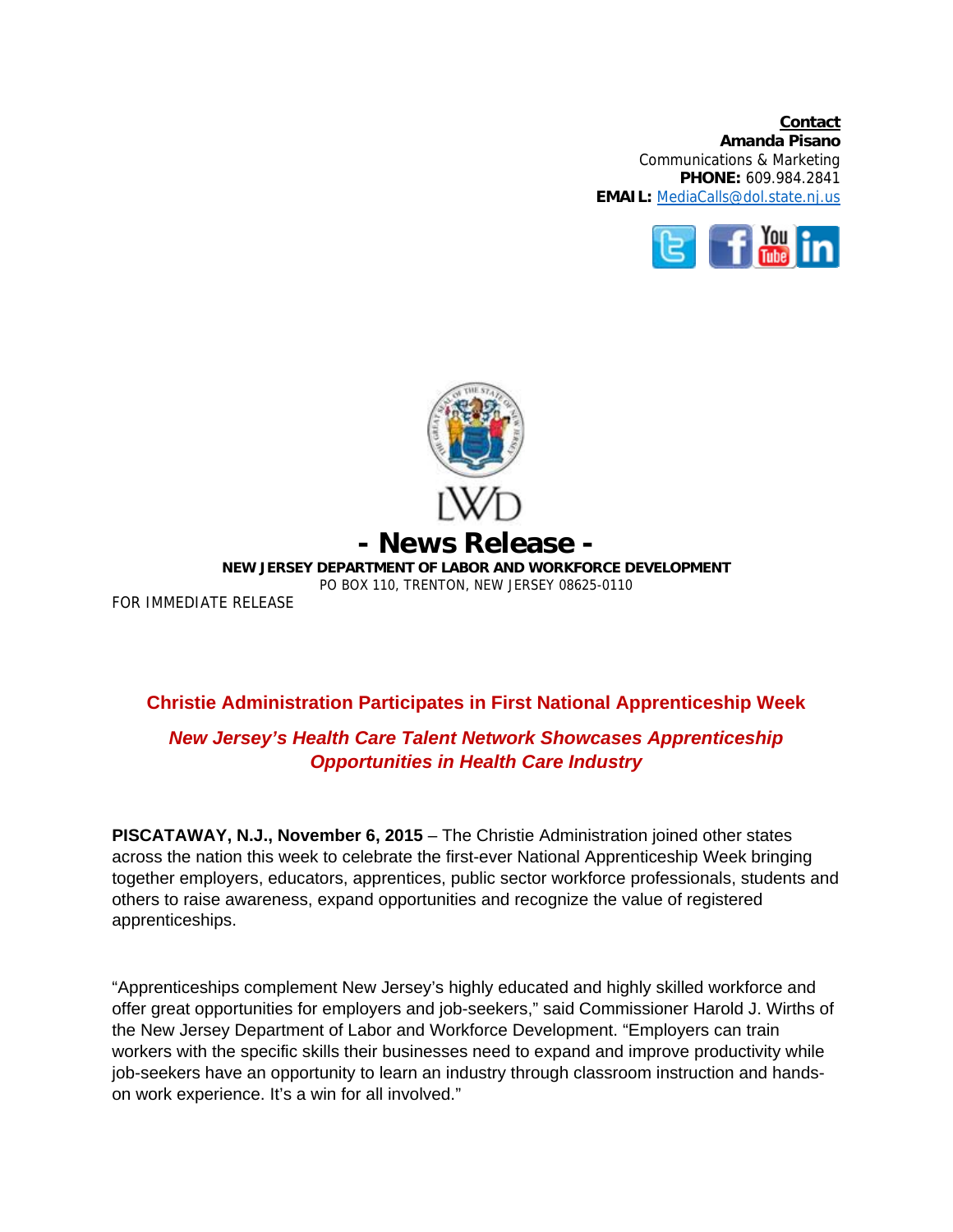**Contact Amanda Pisano**  Communications & Marketing **PHONE:** 609.984.2841 **EMAIL:** MediaCalls@dol.state.nj.us





FOR IMMEDIATE RELEASE

## **Christie Administration Participates in First National Apprenticeship Week**

## *New Jersey's Health Care Talent Network Showcases Apprenticeship Opportunities in Health Care Industry*

**PISCATAWAY, N.J., November 6, 2015** – The Christie Administration joined other states across the nation this week to celebrate the first-ever National Apprenticeship Week bringing together employers, educators, apprentices, public sector workforce professionals, students and others to raise awareness, expand opportunities and recognize the value of registered apprenticeships.

"Apprenticeships complement New Jersey's highly educated and highly skilled workforce and offer great opportunities for employers and job-seekers," said Commissioner Harold J. Wirths of the New Jersey Department of Labor and Workforce Development. "Employers can train workers with the specific skills their businesses need to expand and improve productivity while job-seekers have an opportunity to learn an industry through classroom instruction and handson work experience. It's a win for all involved."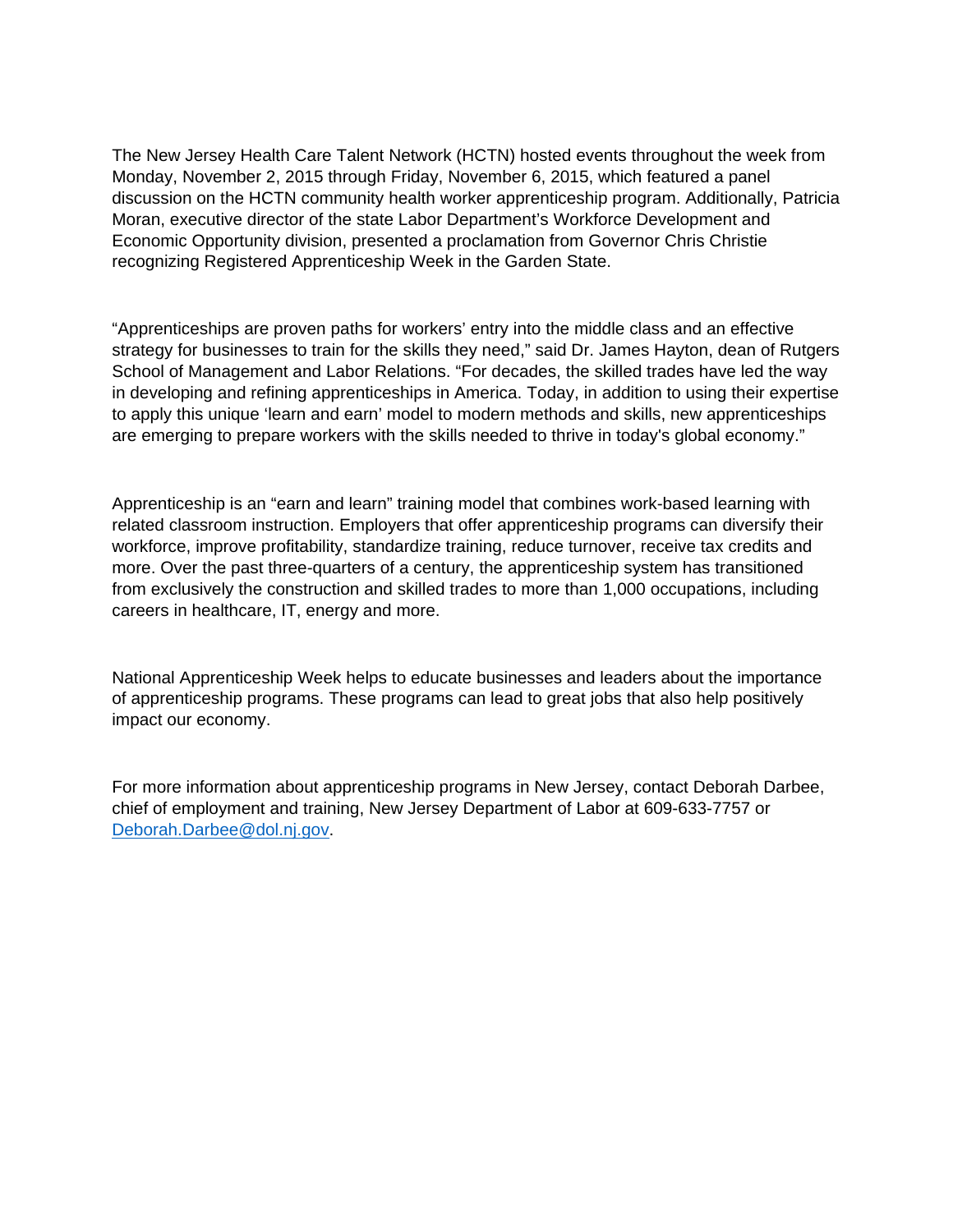The New Jersey Health Care Talent Network (HCTN) hosted events throughout the week from Monday, November 2, 2015 through Friday, November 6, 2015, which featured a panel discussion on the HCTN community health worker apprenticeship program. Additionally, Patricia Moran, executive director of the state Labor Department's Workforce Development and Economic Opportunity division, presented a proclamation from Governor Chris Christie recognizing Registered Apprenticeship Week in the Garden State.

"Apprenticeships are proven paths for workers' entry into the middle class and an effective strategy for businesses to train for the skills they need," said Dr. James Hayton, dean of Rutgers School of Management and Labor Relations. "For decades, the skilled trades have led the way in developing and refining apprenticeships in America. Today, in addition to using their expertise to apply this unique 'learn and earn' model to modern methods and skills, new apprenticeships are emerging to prepare workers with the skills needed to thrive in today's global economy."

Apprenticeship is an "earn and learn" training model that combines work-based learning with related classroom instruction. Employers that offer apprenticeship programs can diversify their workforce, improve profitability, standardize training, reduce turnover, receive tax credits and more. Over the past three-quarters of a century, the apprenticeship system has transitioned from exclusively the construction and skilled trades to more than 1,000 occupations, including careers in healthcare, IT, energy and more.

National Apprenticeship Week helps to educate businesses and leaders about the importance of apprenticeship programs. These programs can lead to great jobs that also help positively impact our economy.

For more information about apprenticeship programs in New Jersey, contact Deborah Darbee, chief of employment and training, New Jersey Department of Labor at 609-633-7757 or Deborah.Darbee@dol.nj.gov.